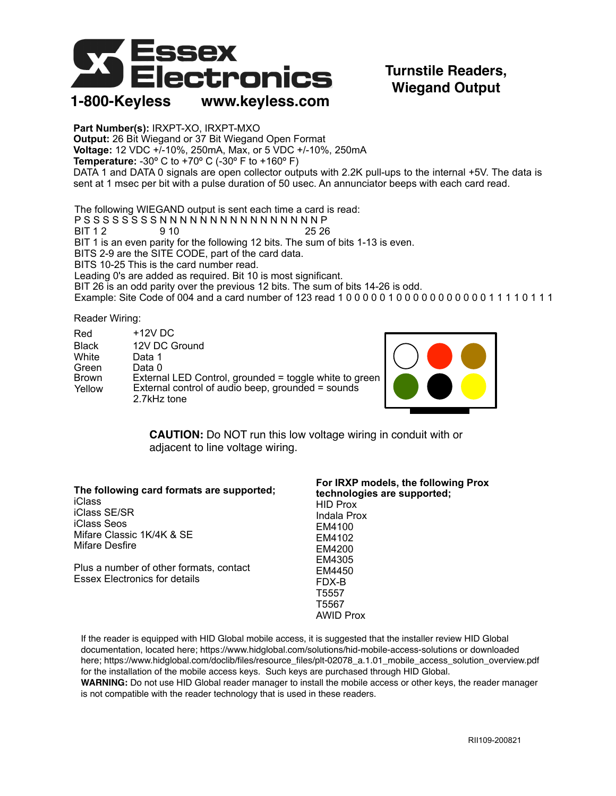

## **Turnstile Readers, Wiegand Output**

**Part Number(s):** IRXPT-XO, IRXPT-MXO **Output:** 26 Bit Wiegand or 37 Bit Wiegand Open Format **Voltage:** 12 VDC +/-10%, 250mA, Max, or 5 VDC +/-10%, 250mA **Temperature:** -30º C to +70º C (-30º F to +160º F) DATA 1 and DATA 0 signals are open collector outputs with 2.2K pull-ups to the internal +5V. The data is sent at 1 msec per bit with a pulse duration of 50 usec. An annunciator beeps with each card read.

The following WIEGAND output is sent each time a card is read: P S S S S S S S S N N N N N N N N N N N N N N N N P BIT 1 2 9 10 25 26 BIT 1 is an even parity for the following 12 bits. The sum of bits 1-13 is even. BITS 2-9 are the SITE CODE, part of the card data. BITS 10-25 This is the card number read. Leading 0's are added as required. Bit 10 is most significant. BIT 26 is an odd parity over the previous 12 bits. The sum of bits 14-26 is odd. Example: Site Code of 004 and a card number of 123 read 1 0 0 0 0 0 1 0 0 0 0 0 0 0 0 0 0 0 1 1 1 1 0 1 1 1

Reader Wiring:

| Red          | $+12V$ DC                                              |  |
|--------------|--------------------------------------------------------|--|
| <b>Black</b> | 12V DC Ground                                          |  |
| White        | Data 1                                                 |  |
| Green        | Data 0                                                 |  |
| <b>Brown</b> | External LED Control, grounded = toggle white to green |  |
| Yellow       | External control of audio beep, grounded = sounds      |  |
|              | 2.7kHz tone                                            |  |



**CAUTION:** Do NOT run this low voltage wiring in conduit with or adjacent to line voltage wiring.

| The following card formats are supported; | For IRXP models, the following Prox<br>technologies are supported; |
|-------------------------------------------|--------------------------------------------------------------------|
| <b>iClass</b>                             | <b>HID Prox</b>                                                    |
| iClass SE/SR                              | Indala Prox                                                        |
| iClass Seos                               | EM4100                                                             |
| Mifare Classic 1K/4K & SE                 | EM4102                                                             |
| Mifare Desfire                            | EM4200                                                             |
|                                           | EM4305                                                             |
| Plus a number of other formats, contact   | EM4450                                                             |
| <b>Essex Electronics for details</b>      | FDX-B                                                              |
|                                           | T5557                                                              |
|                                           | T5567                                                              |
|                                           | <b>AWID Prox</b>                                                   |

If the reader is equipped with HID Global mobile access, it is suggested that the installer review HID Global documentation, located here; https://www.hidglobal.com/solutions/hid-mobile-access-solutions or downloaded here; https://www.hidglobal.com/doclib/files/resource\_files/plt-02078\_a.1.01\_mobile\_access\_solution\_overview.pdf for the installation of the mobile access keys. Such keys are purchased through HID Global.

**WARNING:** Do not use HID Global reader manager to install the mobile access or other keys, the reader manager is not compatible with the reader technology that is used in these readers.